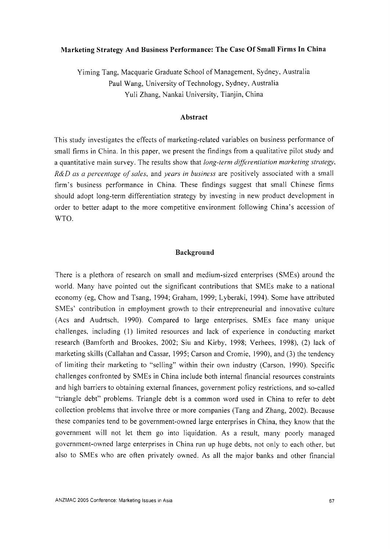# **Marketing Strategy And Business Performance: The Case Of Small Firms In China**

Yiming Tang, Macquarie Graduate School of Management, Sydney, Australia Paul Wang, University of Technology, Sydney, Australia Yuli Zhang, Nankai University, Tianjin, China

## **Abstract**

This study investigates the effects of marketing-related variables on business performance of small firms in China. In this paper, we present the findings from a qualitative pilot study and a quantitative main survey. The results show that *long-term differentiation marketing strategy, R&D as a percentage of sales,* and *years in business* are positively associated with a small firm's business performance in China. These findings suggest that small Chinese firms should adopt long-term differentiation strategy by investing in new product development in order to better adapt to the more competitive environment following China's accession of WTO.

#### **Background**

There is a plethora of research on small and medium-sized enterprises (SMEs) around the world. Many have pointed out the significant contributions that SMEs make to a national economy (eg, Chow and Tsang, 1994; Graham, 1999; Lyberaki, 1994). Some have attributed SMEs' contribution in employment growth to their entrepreneurial and innovative culture (Acs and Audrtsch, 1990). Compared to large enterprises, SMEs face many unique challenges, including (I) limited resources and lack of experience in conducting market research (Bamforth and Brookes, 2002; Siu and Kirby, 1998; Verhees, 1998), (2) lack of marketing skills (Callahan and Cassar, 1995; Carson and Cromie, 1990), and (3) the tendency of limiting their marketing to "selling" within their own industry (Carson, 1990). Specific challenges confronted by SMEs in China include both internal financial resources constraints and high barriers to obtaining external finances, government policy restrictions, and so-called "triangle debt" problems. Triangle debt is a common word used in China to refer to debt collection problems that involve three or more companies (Tang and Zhang, 2002). Because these companies tend to be government-owned large enterprises in China, they know that the government will not let them go into liquidation. As a result, many poorly managed government-owned large enterprises in China run up huge debts, not only to each other, but also to SMEs who are often privately owned. As all the major banks and other financial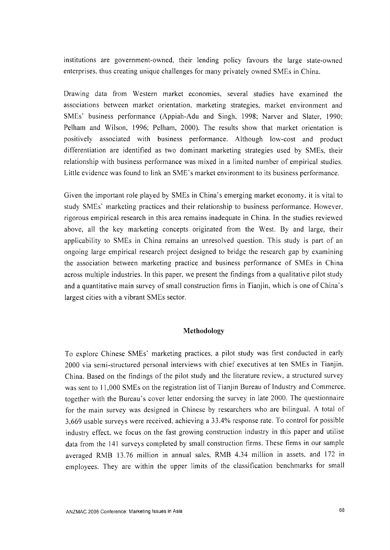institutions are government-owned, their lending policy favours the large state-owned enterprises, thus creating unique challenges for many privately owned SMEs in China.

Drawing data from Western market economies, several studies have examined the associations between market orientation, marketing strategies, market environment and SMEs' business performance (Appiah-Adu and Singh, 1998; Narver and Slater, 1990; Pelham and Wilson, 1996; Pelham, 2000). The results show that market orientation is positively associated with business performance. Although low-cost and product differentiation are identified as two dominant marketing strategies used by SMEs, their relationship with business performance was mixed in a limited number of empirical studies. Little evidence was found to link an SME's market environment to its business performance.

Given the important role played by SMEs in China's emerging market economy, it is vital to study SMEs' marketing practices and their relationship to business performance. However. rigorous empirical research in this area remains inadequate in China. In the studies reviewed above, all the key marketing concepts originated from the West. By and large, their applicability to SMEs in China remains an unresolved question. This study is part of an ongoing large empirical research project designed to bridge the research gap by examining the association between marketing practice and business performance of SMEs in China across multiple industries. In this paper, we present the findings from a qualitative pilot study and a quantitative main survey of small construction firms in Tianjin, which is one of China' s largest cities with a vibrant SMEs sector.

### **Methodology**

To explore Chinese SMEs' marketing practices, a pilot study was first conducted in early 2000 via semi-structured personal interviews with chief executives at ten SMEs in Tianjin, China. Based on the findings of the pilot study and the literature review, a structured survey was sent to 11,000 SMEs on the registration list of Tianjin Bureau of Industry and Commerce. together with the Bureau's cover letter endorsing the survey in late 2000. The questionnaire for the main survey was designed in Chinese by researchers who are bilingual. A total of 3,669 usable surveys were received, achieving a 33.4% response rate. To control for possible industry effect, we focus on the fast growing construction industry in this paper and utilise data from the 141 surveys completed by small construction firms. These firms in our sample averaged RMB 13.76 million in annual sales, RMB 4.34 million in assets, and 172 in employees. They are within the upper limits of the classification benchmarks for small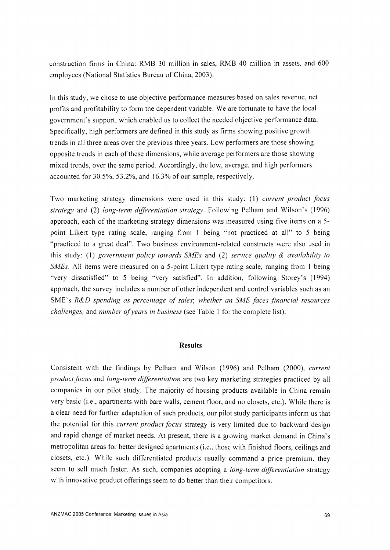construction firms in China: RMB 30 million in sales, RMB 40 million in assets, and 600 employees (National Statistics Bureau of China, 2003).

In this study, we chose to use objective performance measures based on sales revenue, net profits and profitability to form the dependent variable. We are fortunate to have the local government's support, which enabled us to collect the needed objective performance data. Specifically, high performers are defined in this study as firms showing positive growth trends in all three areas over the previous three years. Low performers are those showing opposite trends in each of these dimensions, while average performers are those showing mixed trends, over the same period. Accordingly, the low, average, and high performers accounted for 30.5%,53.2%, and 16.3% of our sample, respectively.

Two marketing strategy dimensions were used in this study: (I) *current product focus strategy* and (2) *long-term differentiation strategy.* Following Pelham and Wilson's (1996) approach, each of the marketing strategy dimensions was measured using five items on a 5 point Likert type rating scale, ranging from 1 being "not practiced at all" to 5 being "practiced to a great deal". Two business environment-related constructs were also used in this study: (I) *government policy towards SMEs* and (2) *service quality* & *availability to SMEs.* All items were measured on a 5-point Likert type rating scale, ranging from 1 being "very dissatisfied" to 5 being "very satisfied". In addition, following Storey's (1994) approach, the survey includes a number of other independent and control variables such as an SME's *R&D spending as percentage of sales; whether an SME faces financial resources challenges,* and *number of years in business* (see Table I for the complete list).

#### **Results**

Consistent with the findings by Pelham and Wilson (1996) and Pelham (2000), *current product focus* and *long-term differentiation* are two key marketing strategies practiced by all companies in our pilot study. The majority of housing products available in China remain very basic (i.e., apartments with bare walls, cement floor, and no closets, etc.). While there is a clear need for further adaptation of such products, our pilot study participants inform us that the potential for this *current product focus* strategy is very limited due to backward design and rapid change of market needs. At present, there is a growing market demand in China's metropolitan areas for better designed apartments (i.e., those with finished floors, ceilings and closets, etc.). While such differentiated products usually command a price premium, they seem to sell much faster. As such, companies adopting a *long-term differentiation* strategy with innovative product offerings seem to do better than their competitors.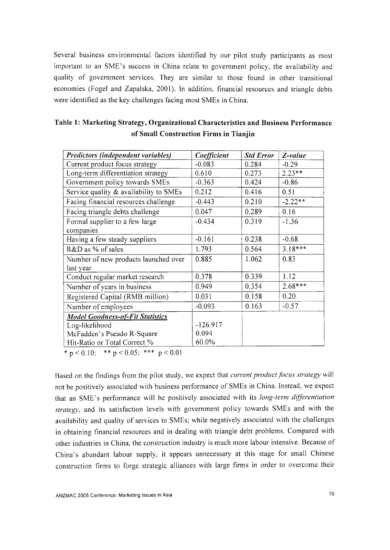Several business environmental factors identified by our pilot study participants as most important to an SME's success in China relate to government policy, the availability and quality of government services. They are similar to those found in other transitional economies (Fogel and Zapalska, 2001). In addition, financial resources and triangle debts were identified as the key challenges facing most SMEs in China.

| Predictors (independent variables)      | Coefficient | <b>Std Error</b> | $Z$ -value |
|-----------------------------------------|-------------|------------------|------------|
| Current product focus strategy          | $-0.083$    | 0.284            | $-0.29$    |
| Long-term differentiation strategy      | 0.610       | 0.273            | $2.23**$   |
| Government policy towards SMEs          | $-0.363$    | 0.424            | $-0.86$    |
| Service quality & availability to SMEs  | 0.212       | 0.416            | 0.51       |
| Facing financial resources challenge    | $-0.443$    | 0.210            | $-2.22**$  |
| Facing triangle debts challenge         | 0.047       | 0.289            | 0.16       |
| Formal supplier to a few large          | $-0.434$    | 0.319            | $-1.36$    |
| companies                               |             |                  |            |
| Having a few steady suppliers           | $-0.161$    | 0.238            | $-0.68$    |
| R&D as % of sales                       | 1.793       | 0.564            | $3.18***$  |
| Number of new products launched over    | 0.885       | 1.062            | 0.83       |
| last year                               |             |                  |            |
| Conduct regular market research         | 0.378       | 0.339            | 1.12       |
| Number of years in business             | 0.949       | 0.354            | $2.68***$  |
| Registered Capital (RMB million)        | 0.031       | 0.158            | 0.20       |
| Number of employees                     | $-0.093$    | 0.163            | $-0.57$    |
| <b>Model Goodness-of-Fit Statistics</b> |             |                  |            |
| Log-likelihood                          | $-126.917$  |                  |            |
| McFadden's Pseudo R-Square              | 0.094       |                  |            |
| Hit-Ratio or Total Correct %            | 60.0%       |                  |            |

| Table 1: Marketing Strategy, Organizational Characteristics and Business Performance |  |
|--------------------------------------------------------------------------------------|--|
| of Small Construction Firms in Tianjin                                               |  |

\* p < 0.10; \*\* p < 0.05; \*\*\* p < 0.01

Based on the findings from the pilot study, we expect that *current product focus strategy* will not be positively associated with business performance of SMEs in China. Instead, we expect that an SME' s performance will be positively associated with its *long-term differentiation strategy,* and its satisfaction levels with government policy towards SMEs and with the availability and quality of services to SMEs; while negatively associated with the challenges in obtaining financial resources and in dealing with triangle debt problems. Compared with other industries in China, the construction industry is much more labour intensive. Because of China's abundant labour supply, it appears unnecessary at this stage for small Chinese construction firms to forge strategic alliances with large firms in order to overcome their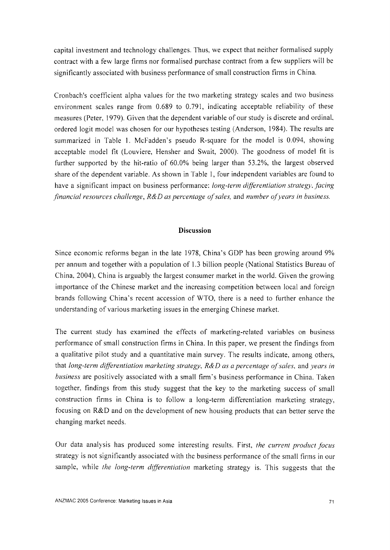capital investment and technology challenges. Thus, we expect that neither formalised supply contract with a few large firms nor formalised purchase contract from a few suppliers will be significantly associated with business performance of small construction firms in China.

Cronbach's coefficient alpha values for the two marketing strategy scales and two business environment scales range from 0.689 to 0.791, indicating acceptable reliability of these measures (Peter, 1979). Given that the dependent variable of our study is discrete and ordinal, ordered logit model was chosen for our hypotheses testing (Anderson, 1984). The results are summarized in Table 1. McFadden's pseudo R-square for the model is 0.094, showing acceptable model fit (Louviere, Hensher and Swait, 2000). The goodness of model fit is further supported by the hit-ratio of 60.0% being larger than 53.2%, the largest observed share of the dependent variable. As shown in Table 1, four independent variables are found to have a significant impact on business performance: *long-term differentiation strategy. facing financial resources challenge, R&D as percentage of sales,* and *number ofyears in business.*

## **Discussion**

Since economic reforms began in the late 1978, China's GOP has been growing around 9% per annum and together with a population of 1.3 billion people (National Statistics Bureau of China, 2004), China is arguably the largest consumer market in the world. Given the growing importance of the Chinese market and the increasing competition between local and foreign brands following China's recent accession of WTO, there is a need to further enhance the understanding of various marketing issues in the emerging Chinese market.

The current study has examined the effects of marketing-related variables on business performance of small construction firms in China. In this paper, we present the findings from a qualitative pilot study and a quantitative main survey. The results indicate, among others, that *long-term differentiation marketing strategy, R&D as a percentage ofsales,* and *years in business* are positively associated with a small firm's business performance in China. Taken together, findings from this study suggest that the key to the marketing success of small construction firms in China is to follow a long-term differentiation marketing strategy, focusing on R&D and on the development of new housing products that can better serve the changing market needs.

Our data analysis has produced some interesting results. First, *the current product focus* strategy is not significantly associated with the business performance of the small firms in our sample, while *the long-term differentiation* marketing strategy is. This suggests that the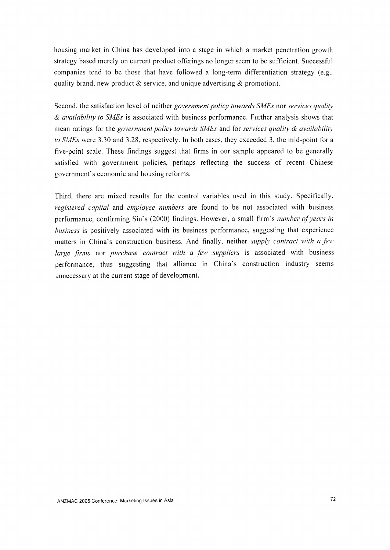housing market in China has developed into a stage in which a market penetration growth strategy based merely on current product offerings no longer seem to be sufficient. Successful companies tend to be those that have followed a long-term differentiation strategy (e.g., quality brand, new product  $\&$  service, and unique advertising  $\&$  promotion).

Second, the satisfaction level of neither *government policy towards SMEs* nor *services quality & availability to SMEs* is associated with business performance. Further analysis shows that mean ratings for the *government policy towards SMEs* and for *services quality* & *availability to SMEs* were 3.30 and 3.28, respectively. In both cases, they exceeded 3, the mid-point for a five-point scale. These findings suggest that firms in our sample appeared to be generally satisfied with government policies, perhaps reflecting the success of recent Chinese government's economic and housing reforms.

Third, there are mixed results for the control variables used in this study. Specifically, *registered capital* and *employee numbers* are found to be not associated with business performance, confirming Siu's (2000) findings. However, a small firm's *number of years in business* is positively associated with its business performance, suggesting that experience matters in China's construction business. And finally, neither *supply contract with a few large firms* nor *purchase contract with a few suppliers* is associated with business performance, thus suggesting that alliance in China's construction industry seems unnecessary at the current stage of development.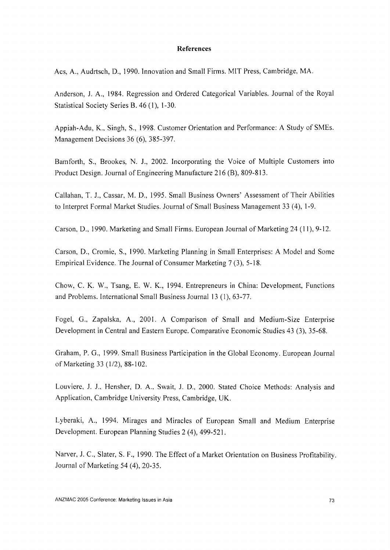#### **References**

Acs, A., Audrtsch, D., 1990. Innovation and Small Firms. MIT Press, Cambridge, MA.

Anderson, 1. A., 1984. Regression and Ordered Categorical Variables. Journal of the Royal Statistical Society Series B. 46 (I), 1-30.

Appiah-Adu, K., Singh, S., 1998. Customer Orientation and Performance: A Study of SMEs. Management Decisions 36 (6), 385-397.

Bamforth, S., Brookes, N. 1., 2002. Incorporating the Voice of Multiple Customers into Product Design. Journal of Engineering Manufacture 216 (B), 809-813.

Callahan, T. *J.,* Cassar, M. D., 1995. Small Business Owners' Assessment of Their Abilities to Interpret Formal Market Studies. Journal of Small Business Management 33 (4), 1-9.

Carson, D., 1990. Marketing and Small Firms. European Journal of Marketing 24 (II), 9-12.

Carson, D., Cromie, S., 1990. Marketing Planning in Small Enterprises: A Model and Some Empirical Evidence. The Journal of Consumer Marketing 7 (3), 5-18.

Chow, C. K. W., Tsang, E. W. K., 1994. Entrepreneurs in China: Development, Functions and Problems. International Small Business Journal 13 (I), 63-77.

Fogel, G., Zapalska, A., 2001. A Comparison of Small and Medium-Size Enterprise Development in Central and Eastern Europe. Comparative Economic Studies 43 (3), 35-68.

Graham, P. G., 1999. Small Business Participation in the Global Economy. European Journal of Marketing 33 (1/2), 88-102.

Louviere, J. *J.,* Hensher, D. A., Swait, J. D., 2000. Stated Choice Methods: Analysis and Application, Cambridge University Press, Cambridge, UK.

Lyberaki, A., 1994. Mirages and Miracles of European Small and Medium Enterprise Development. European Planning Studies 2 (4), 499-521.

Narver, 1. c., Slater, S. F., 1990. The Effect of a Market Orientation on Business Profitability. Journal of Marketing 54 (4), 20-35.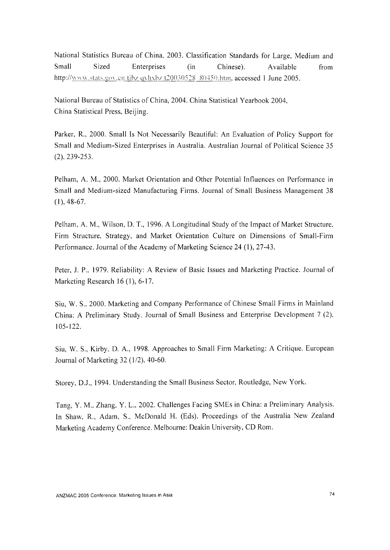National Statistics Bureau of China, 2003. Classification Standards for Large, Medium and Small Sized Enterprises (in Chinese). Available from http://www.stats.gov.cn/tjbz.qyhxbz/t20030528.80450.htm. accessed 1 June 2005.

National Bureau of Statistics of China, 2004. China Statistical Yearbook 2004, China Statistical Press, Beijing.

Parker, R., 2000. Small Is Not Necessarily Beautiful: An Evaluation of Policy Support for Small and Medium-Sized Enterprises in Australia. Australian Journal of Political Science 35 (2). 239-253.

Pelham, A. M., 2000. Market Orientation and Other Potential Influences on Performance in Small and Medium-sized Manufacturing Firms. Journal of Small Business Management 38 (1), 48-67.

Pelham, A. M., Wilson, D. T., 1996. A Longitudinal Study of the Impact of Market Structure. Firm Structure. Strategy, and Market Orientation Culture on Dimensions of Small-Finn Performance. Journal of the Academy of Marketing Science 24 (I), 27-43.

Peter, 1. P., 1979. Reliability: A Review of Basic Issues and Marketing Practice. Journal of Marketing Research 16 (I), 6-17.

Siu, W. S.. 2000. Marketing and Company Performance of Chinese Small Firms in Mainland China: A Preliminary Study. Journal of Small Business and Enterprise Development 7 (2), 105-122.

Siu, W. S., Kirby, D. A., 1998. Approaches to Small Firm Marketing: A Critique. European Journal of Marketing 32 (1/2), 40-60.

Storey, 0.1.,1994. Understanding the Small Business Sector, Routledge, New York.

Tang, Y. M.. Zhang, Y. L., 2002. Challenges Facing SMEs in China: a Preliminary Analysis. In Shaw, R., Adam, S., McDonald H. (Eds). Proceedings of the Australia New Zealand Marketing Academy Conference. Melbourne: Deakin University, CD Rom.